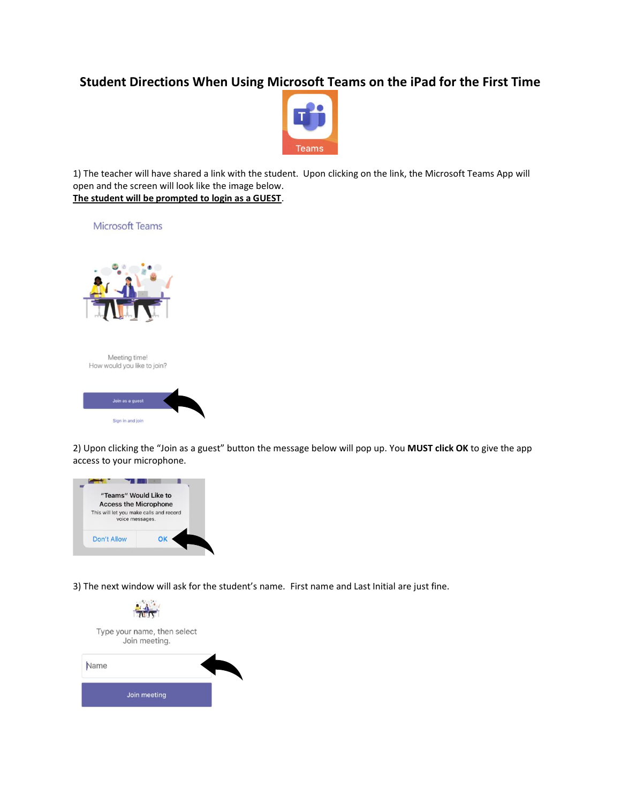## **Student Directions When Using Microsoft Teams on the iPad for the First Time**



1) The teacher will have shared a link with the student. Upon clicking on the link, the Microsoft Teams App will open and the screen will look like the image below. **The student will be prompted to login as a GUEST**.

**Microsoft Teams** 





2) Upon clicking the "Join as a guest" button the message below will pop up. You **MUST click OK** to give the app access to your microphone.



3) The next window will ask for the student's name. First name and Last Initial are just fine.

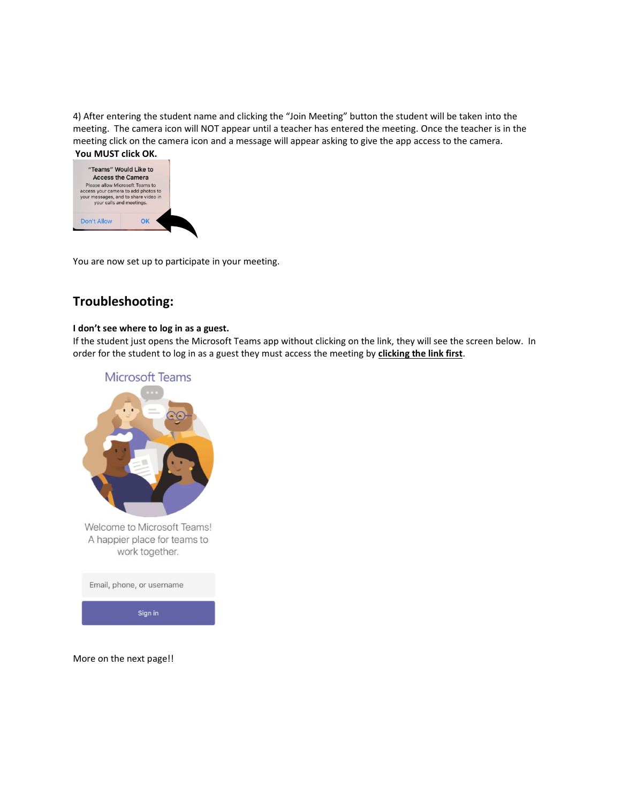4) After entering the student name and clicking the "Join Meeting" button the student will be taken into the meeting. The camera icon will NOT appear until a teacher has entered the meeting. Once the teacher is in the meeting click on the camera icon and a message will appear asking to give the app access to the camera. **You MUST click OK.**



You are now set up to participate in your meeting.

## **Troubleshooting:**

## **I don't see where to log in as a guest.**

If the student just opens the Microsoft Teams app without clicking on the link, they will see the screen below. In order for the student to log in as a guest they must access the meeting by **clicking the link first**.



More on the next page!!